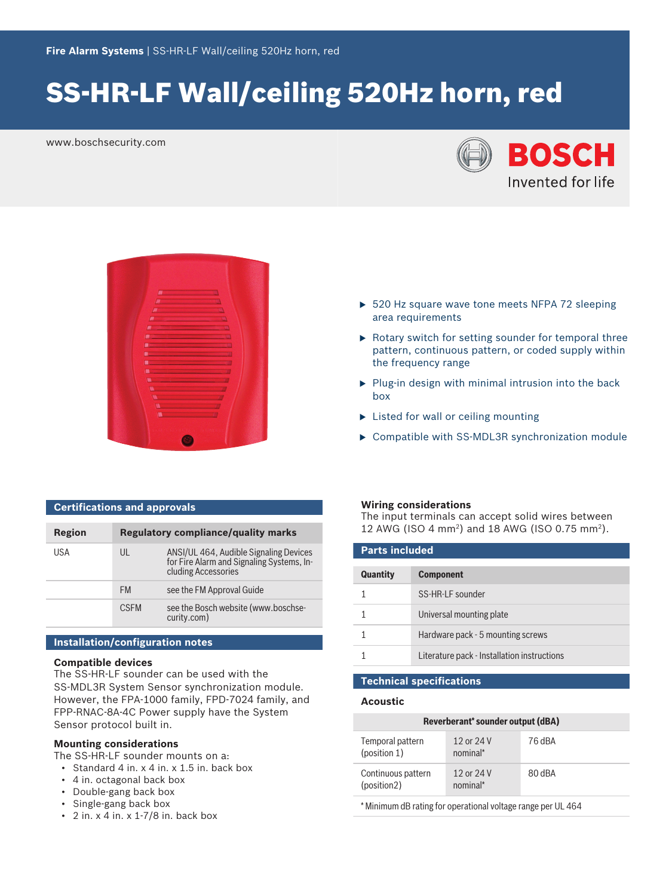# SS-HR-LF Wall/ceiling 520Hz horn, red

www.boschsecurity.com





| <b>Certifications and approvals</b> |  |
|-------------------------------------|--|
|-------------------------------------|--|

| <b>Region</b> |                | <b>Regulatory compliance/quality marks</b>                                                                 |
|---------------|----------------|------------------------------------------------------------------------------------------------------------|
| USA           | $\mathsf{III}$ | ANSI/UL 464, Audible Signaling Devices<br>for Fire Alarm and Signaling Systems, In-<br>cluding Accessories |
|               | <b>FM</b>      | see the FM Approval Guide                                                                                  |
|               | <b>CSEM</b>    | see the Bosch website (www.boschse-<br>curity.com)                                                         |
|               |                |                                                                                                            |

### **Installation/configuration notes**

#### **Compatible devices**

The SS-HR-LF sounder can be used with the SS‑MDL3R System Sensor synchronization module. However, the FPA-1000 family, FPD-7024 family, and FPP-RNAC-8A-4C Power supply have the System Sensor protocol built in.

#### **Mounting considerations**

- The SS-HR-LF sounder mounts on a:
- Standard 4 in. x 4 in. x 1.5 in. back box
- 4 in. octagonal back box
- Double-gang back box
- Single-gang back box
- $\cdot$  2 in. x 4 in. x 1-7/8 in. back box
- $\triangleright$  520 Hz square wave tone meets NFPA 72 sleeping area requirements
- $\blacktriangleright$  Rotary switch for setting sounder for temporal three pattern, continuous pattern, or coded supply within the frequency range
- $\blacktriangleright$  Plug-in design with minimal intrusion into the back box
- $\blacktriangleright$  Listed for wall or ceiling mounting
- $\triangleright$  Compatible with SS-MDL3R synchronization module

#### **Wiring considerations**

The input terminals can accept solid wires between 12 AWG (ISO 4 mm<sup>2</sup> ) and 18 AWG (ISO 0.75 mm<sup>2</sup> ).

| <b>Parts included</b> |                                             |
|-----------------------|---------------------------------------------|
| Quantity              | <b>Component</b>                            |
|                       | SS-HR-LF sounder                            |
|                       | Universal mounting plate                    |
|                       | Hardware pack - 5 mounting screws           |
|                       | Literature pack - Installation instructions |
|                       |                                             |

## **Technical specifications**

### **Acoustic**

| Reverberant* sounder output (dBA)                                                                                                                                                                                                  |                        |        |
|------------------------------------------------------------------------------------------------------------------------------------------------------------------------------------------------------------------------------------|------------------------|--------|
| Temporal pattern<br>(position 1)                                                                                                                                                                                                   | 12 or 24 V<br>nominal* | 76 dBA |
| Continuous pattern<br>(position2)                                                                                                                                                                                                  | 12 or 24 V<br>nominal* | 80 dBA |
| $\star$ and $\sim$ in the function of the set of the set of the set of the set of the set of the set of the set of the set of the set of the set of the set of the set of the set of the set of the set of the set of the set of t |                        |        |

\* Minimum dB rating for operational voltage range per UL 464